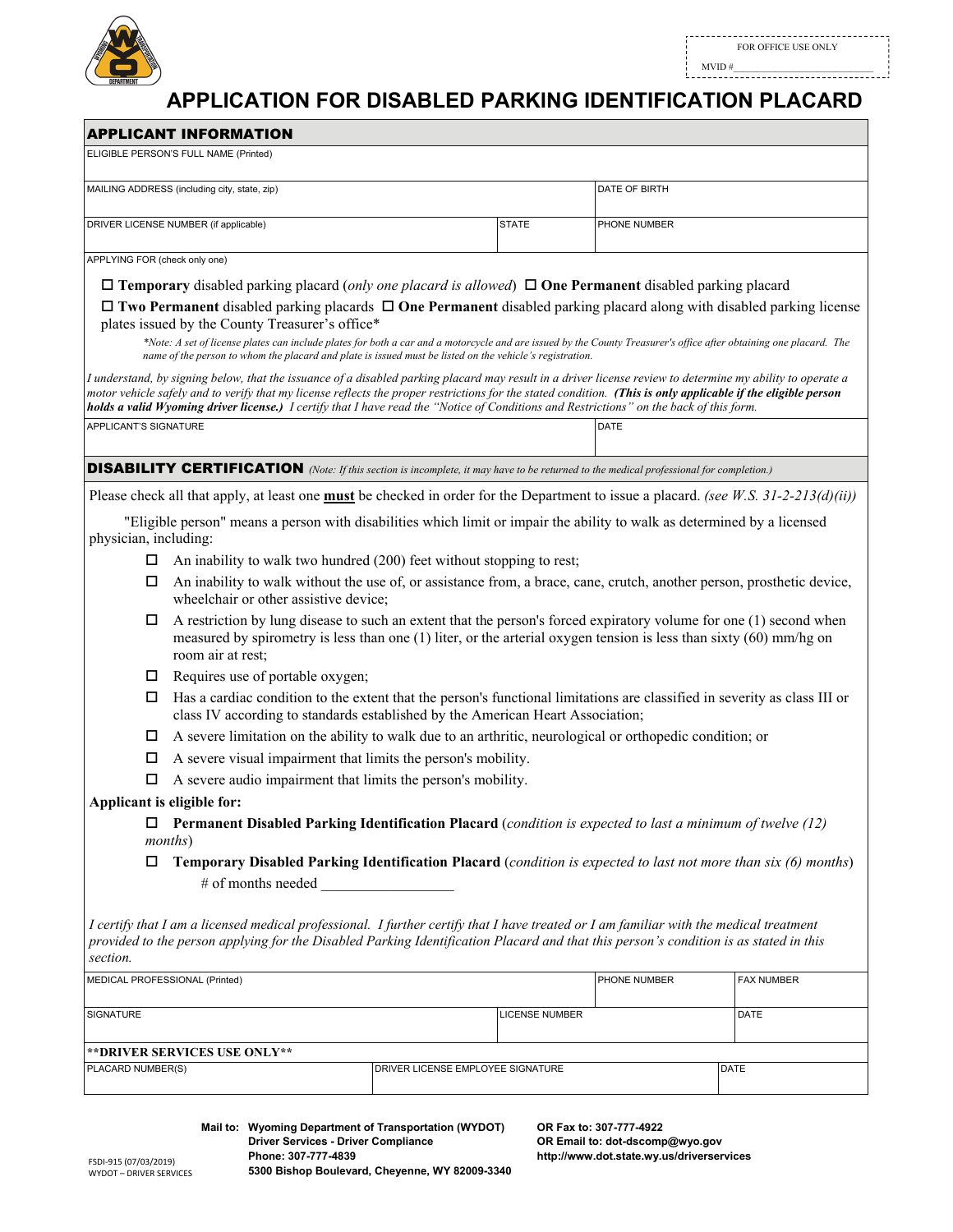

 $\text{MVID}~\# \underbrace{\hspace{1.5cm}}$ 

## **APPLICATION FOR DISABLED PARKING IDENTIFICATION PLACARD**

|                                                        | <b>APPLICANT INFORMATION</b>                                                                                                                                                                                                                                                                                                                                                                                                                                           |  |                       |               |                   |  |
|--------------------------------------------------------|------------------------------------------------------------------------------------------------------------------------------------------------------------------------------------------------------------------------------------------------------------------------------------------------------------------------------------------------------------------------------------------------------------------------------------------------------------------------|--|-----------------------|---------------|-------------------|--|
|                                                        | ELIGIBLE PERSON'S FULL NAME (Printed)                                                                                                                                                                                                                                                                                                                                                                                                                                  |  |                       |               |                   |  |
| MAILING ADDRESS (including city, state, zip)           |                                                                                                                                                                                                                                                                                                                                                                                                                                                                        |  |                       | DATE OF BIRTH |                   |  |
| DRIVER LICENSE NUMBER (if applicable)                  |                                                                                                                                                                                                                                                                                                                                                                                                                                                                        |  | <b>STATE</b>          | PHONE NUMBER  |                   |  |
|                                                        |                                                                                                                                                                                                                                                                                                                                                                                                                                                                        |  |                       |               |                   |  |
| APPLYING FOR (check only one)                          |                                                                                                                                                                                                                                                                                                                                                                                                                                                                        |  |                       |               |                   |  |
|                                                        | $\Box$ Temporary disabled parking placard (only one placard is allowed) $\Box$ One Permanent disabled parking placard                                                                                                                                                                                                                                                                                                                                                  |  |                       |               |                   |  |
|                                                        | $\Box$ Two Permanent disabled parking placards $\Box$ One Permanent disabled parking placard along with disabled parking license<br>plates issued by the County Treasurer's office*                                                                                                                                                                                                                                                                                    |  |                       |               |                   |  |
|                                                        | *Note: A set of license plates can include plates for both a car and a motorcycle and are issued by the County Treasurer's office after obtaining one placard. The<br>name of the person to whom the placard and plate is issued must be listed on the vehicle's registration.                                                                                                                                                                                         |  |                       |               |                   |  |
|                                                        | I understand, by signing below, that the issuance of a disabled parking placard may result in a driver license review to determine my ability to operate a<br>motor vehicle safely and to verify that my license reflects the proper restrictions for the stated condition. (This is only applicable if the eligible person<br>holds a valid Wyoming driver license.) I certify that I have read the "Notice of Conditions and Restrictions" on the back of this form. |  |                       |               |                   |  |
| APPLICANT'S SIGNATURE                                  |                                                                                                                                                                                                                                                                                                                                                                                                                                                                        |  |                       | DATE          |                   |  |
|                                                        | <b>DISABILITY CERTIFICATION</b> (Note: If this section is incomplete, it may have to be returned to the medical professional for completion.)                                                                                                                                                                                                                                                                                                                          |  |                       |               |                   |  |
|                                                        | Please check all that apply, at least one <b>must</b> be checked in order for the Department to issue a placard. (see W.S. $31-2-213(d)(ii)$ )                                                                                                                                                                                                                                                                                                                         |  |                       |               |                   |  |
| physician, including:                                  | "Eligible person" means a person with disabilities which limit or impair the ability to walk as determined by a licensed                                                                                                                                                                                                                                                                                                                                               |  |                       |               |                   |  |
| □                                                      | An inability to walk two hundred (200) feet without stopping to rest;                                                                                                                                                                                                                                                                                                                                                                                                  |  |                       |               |                   |  |
| □                                                      | An inability to walk without the use of, or assistance from, a brace, cane, crutch, another person, prosthetic device,<br>wheelchair or other assistive device;                                                                                                                                                                                                                                                                                                        |  |                       |               |                   |  |
| □                                                      | A restriction by lung disease to such an extent that the person's forced expiratory volume for one (1) second when<br>measured by spirometry is less than one $(1)$ liter, or the arterial oxygen tension is less than sixty $(60)$ mm/hg on<br>room air at rest:                                                                                                                                                                                                      |  |                       |               |                   |  |
| □                                                      | Requires use of portable oxygen;                                                                                                                                                                                                                                                                                                                                                                                                                                       |  |                       |               |                   |  |
|                                                        | Has a cardiac condition to the extent that the person's functional limitations are classified in severity as class III or<br>class IV according to standards established by the American Heart Association;                                                                                                                                                                                                                                                            |  |                       |               |                   |  |
| □                                                      | A severe limitation on the ability to walk due to an arthritic, neurological or orthopedic condition; or                                                                                                                                                                                                                                                                                                                                                               |  |                       |               |                   |  |
| □                                                      | A severe visual impairment that limits the person's mobility.                                                                                                                                                                                                                                                                                                                                                                                                          |  |                       |               |                   |  |
| □                                                      | A severe audio impairment that limits the person's mobility.                                                                                                                                                                                                                                                                                                                                                                                                           |  |                       |               |                   |  |
|                                                        | Applicant is eligible for:                                                                                                                                                                                                                                                                                                                                                                                                                                             |  |                       |               |                   |  |
|                                                        | Permanent Disabled Parking Identification Placard (condition is expected to last a minimum of twelve (12)<br><i>months</i> )                                                                                                                                                                                                                                                                                                                                           |  |                       |               |                   |  |
| □                                                      | Temporary Disabled Parking Identification Placard (condition is expected to last not more than six (6) months)                                                                                                                                                                                                                                                                                                                                                         |  |                       |               |                   |  |
|                                                        | # of months needed                                                                                                                                                                                                                                                                                                                                                                                                                                                     |  |                       |               |                   |  |
| section.                                               | I certify that I am a licensed medical professional. I further certify that I have treated or I am familiar with the medical treatment<br>provided to the person applying for the Disabled Parking Identification Placard and that this person's condition is as stated in this                                                                                                                                                                                        |  |                       |               |                   |  |
| MEDICAL PROFESSIONAL (Printed)                         |                                                                                                                                                                                                                                                                                                                                                                                                                                                                        |  |                       | PHONE NUMBER  | <b>FAX NUMBER</b> |  |
| SIGNATURE                                              |                                                                                                                                                                                                                                                                                                                                                                                                                                                                        |  | <b>LICENSE NUMBER</b> |               | DATE              |  |
|                                                        | ** DRIVER SERVICES USE ONLY**                                                                                                                                                                                                                                                                                                                                                                                                                                          |  |                       |               |                   |  |
| PLACARD NUMBER(S)<br>DRIVER LICENSE EMPLOYEE SIGNATURE |                                                                                                                                                                                                                                                                                                                                                                                                                                                                        |  |                       |               | DATE              |  |
|                                                        |                                                                                                                                                                                                                                                                                                                                                                                                                                                                        |  |                       |               |                   |  |

WYDOT – DRIVER SERVICES